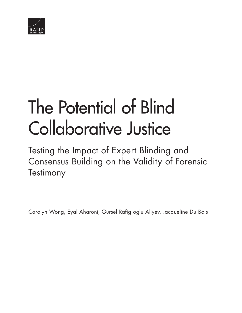

# [The Potential of Blind](http://www.rand.org/pubs/research_reports/RR804-1.html)  Collaborative Justice

Testing the Impact of Expert Blinding and Consensus Building on the Validity of Forensic **Testimony** 

Carolyn Wong, Eyal Aharoni, Gursel Rafig oglu Aliyev, Jacqueline Du Bois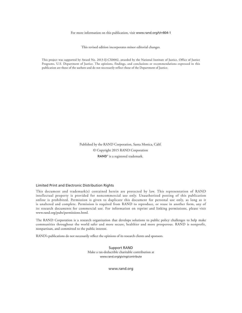#### For more information on this publication, visit [www.rand.org/t/rr804-1](http://www.rand.org/t/rr804-1)

This revised edition incorporates minor editorial changes.

This project was supported by Award No. 2013-IJ-CX0002, awarded by the National Institute of Justice, Office of Justice Programs, U.S. Department of Justice. The opinions, findings, and conclusions or recommendations expressed in this publication are those of the authors and do not necessarily reflect those of the Department of Justice.

> Published by the RAND Corporation, Santa Monica, Calif. © Copyright 2015 RAND Corporation RAND<sup>®</sup> is a registered trademark.

#### Limited Print and Electronic Distribution Rights

This document and trademark(s) contained herein are protected by law. This representation of RAND intellectual property is provided for noncommercial use only. Unauthorized posting of this publication online is prohibited. Permission is given to duplicate this document for personal use only, as long as it is unaltered and complete. Permission is required from RAND to reproduce, or reuse in another form, any of its research documents for commercial use. For information on reprint and linking permissions, please visit [www.rand.org/pubs/permissions.html.](http://www.rand.org/pubs/permissions.html)

The RAND Corporation is a research organization that develops solutions to public policy challenges to help make communities throughout the world safer and more secure, healthier and more prosperous. RAND is nonprofit, nonpartisan, and committed to the public interest.

RAND's publications do not necessarily reflect the opinions of its research clients and sponsors.

Support RAND Make a tax-deductible charitable contribution at [www.rand.org/giving/contribute](http://www.rand.org/giving/contribute)

[www.rand.org](http://www.rand.org)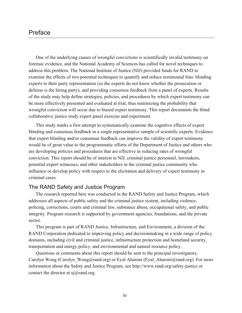# Preface

One of the underlying causes of wrongful convictions is scientifically invalid testimony on forensic evidence, and the National Academy of Sciences has called for novel techniques to address this problem. The National Institute of Justice (NIJ) provided funds for RAND to examine the effects of two potential techniques to quantify and reduce testimonial bias: blinding experts to their party representation (so the experts do not know whether the prosecution or defense is the hiring party), and providing consensus feedback from a panel of experts. Results of the study may help define strategies, policies, and procedures by which expert testimony can be more effectively presented and evaluated at trial, thus minimizing the probability that wrongful conviction will occur due to biased expert testimony. This report documents the blind collaborative justice study expert panel exercise and experiment.

This study marks a first attempt to systematically examine the cognitive effects of expert blinding and consensus feedback in a single representative sample of scientific experts. Evidence that expert blinding and/or consensus feedback can improve the validity of expert testimony would be of great value to the programmatic efforts of the Department of Justice and others who are developing policies and procedures that are effective in reducing rates of wrongful conviction. This report should be of interest to NIJ, criminal justice personnel, lawmakers, potential expert witnesses, and other stakeholders in the criminal justice community who influence or develop policy with respect to the elicitation and delivery of expert testimony in criminal cases.

# The RAND Safety and Justice Program

The research reported here was conducted in the RAND Safety and Justice Program, which addresses all aspects of public safety and the criminal justice system, including violence, policing, corrections, courts and criminal law, substance abuse, occupational safety, and public integrity. Program research is supported by government agencies, foundations, and the private sector.

This program is part of RAND Justice, Infrastructure, and Environment, a division of the RAND Corporation dedicated to improving policy and decisionmaking in a wide range of policy domains, including civil and criminal justice, infrastructure protection and homeland security, transportation and energy policy, and environmental and natural resource policy.

Questions or comments about this report should be sent to the principal investigators, Carolyn Wong (Carolyn Wong@rand.org) or Eyal Aharoni (Eyal Aharoni@rand.org). For more information about the Safety and Justice Program, see <http://www.rand.org/safety-justice>or contact the director at  $si(\hat{\omega})$  rand.org.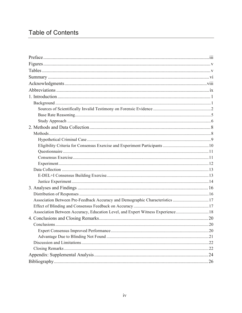# **Table of Contents**

| Association Between Pre-Feedback Accuracy and Demographic Characteristics  17   |  |
|---------------------------------------------------------------------------------|--|
|                                                                                 |  |
| Association Between Accuracy, Education Level, and Expert Witness Experience 18 |  |
|                                                                                 |  |
|                                                                                 |  |
|                                                                                 |  |
|                                                                                 |  |
|                                                                                 |  |
|                                                                                 |  |
|                                                                                 |  |
|                                                                                 |  |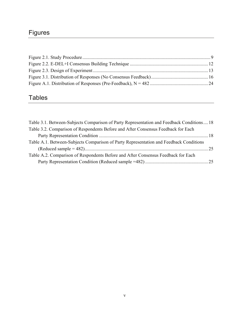# Figures

# Tables

| Table 3.1. Between-Subjects Comparison of Party Representation and Feedback Conditions 18 |  |
|-------------------------------------------------------------------------------------------|--|
| Table 3.2. Comparison of Respondents Before and After Consensus Feedback for Each         |  |
|                                                                                           |  |
| Table A.1. Between-Subjects Comparison of Party Representation and Feedback Conditions    |  |
|                                                                                           |  |
| Table A.2. Comparison of Respondents Before and After Consensus Feedback for Each         |  |
|                                                                                           |  |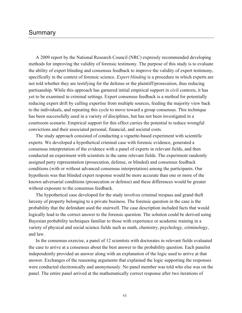# Summary

A 2009 report by the National Research Council (NRC) expressly recommended developing methods for improving the validity of forensic testimony. The purpose of this study is to evaluate the ability of expert blinding and consensus feedback to improve the validity of expert testimony, specifically in the context of forensic science. *Expert blinding* is a procedure in which experts are not told whether they are testifying for the defense or the plaintiff/prosecution, thus reducing partisanship. While this approach has garnered initial empirical support in civil contexts, it has yet to be examined in criminal settings. Expert consensus feedback is a method for potentially reducing expert drift by culling expertise from multiple sources, feeding the majority view back to the individuals, and repeating this cycle to move toward a group consensus. This technique has been successfully used in a variety of disciplines, but has not been investigated in a courtroom scenario. Empirical support for this effect carries the potential to reduce wrongful convictions and their associated personal, financial, and societal costs.

The study approach consisted of conducting a vignette-based experiment with scientific experts. We developed a hypothetical criminal case with forensic evidence, generated a consensus interpretation of the evidence with a panel of experts in relevant fields, and then conducted an experiment with scientists in the same relevant fields. The experiment randomly assigned party representation (prosecution, defense, or blinded) and consensus feedback conditions (with or without advanced consensus interpretation) among the participants. Our hypothesis was that blinded expert response would be more accurate than one or more of the known adversarial conditions (prosecution or defense) and these differences would be greater without exposure to the consensus feedback.

The hypothetical case developed for the study involves criminal trespass and grand theft larceny of property belonging to a private business. The forensic question in the case is the probability that the defendant used the stairwell. The case description included facts that would logically lead to the correct answer to the forensic question. The solution could be derived using Bayesian probability techniques familiar to those with experience or academic training in a variety of physical and social science fields such as math, chemistry, psychology, criminology, and law.

In the consensus exercise, a panel of 12 scientists with doctorates in relevant fields evaluated the case to arrive at a consensus about the best answer to the probability question. Each panelist independently provided an answer along with an explanation of the logic used to arrive at that answer. Exchanges of the reasoning arguments that explained the logic supporting the responses were conducted electronically and anonymously. No panel member was told who else was on the panel. The entire panel arrived at the mathematically correct response after two iterations of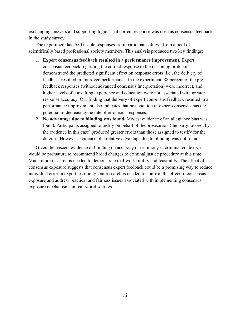exchanging answers and supporting logic. That correct response was used as consensus feedback in the study survey.

The experiment had 580 usable responses from participants drawn from a pool of scientifically based professional society members. This analysis produced two key findings:

- 1. **Expert consensus feedback resulted in a performance improvement.** Expert consensus feedback regarding the correct response to the reasoning problem demonstrated the predicted significant effect on response errors; i.e., the delivery of feedback resulted in improved performance. In the experiment, 88 percent of the prefeedback responses (without advanced consensus interpretation) were incorrect, and higher levels of consulting experience and education were not associated with greater response accuracy. Our finding that delivery of expert consensus feedback resulted in a performance improvement also indicates that presentation of expert consensus has the potential of decreasing the rate of erroneous responses.
- 2. **No advantage due to blinding was found.** Modest evidence of an allegiance bias was found: Participants assigned to testify on behalf of the prosecution (the party favored by the evidence in this case) produced greater errors than those assigned to testify for the defense. However, evidence of a relative advantage due to blinding was not found.

Given the nascent evidence of blinding on accuracy of testimony in criminal contexts, it would be premature to recommend broad changes to criminal justice procedure at this time. Much more research is needed to demonstrate real-world utility and feasibility. The effect of consensus exposure suggests that consensus expert feedback could be a promising way to reduce individual error in expert testimony, but research is needed to confirm the effect of consensus exposure and address practical and fairness issues associated with implementing consensus exposure mechanisms in real-world settings.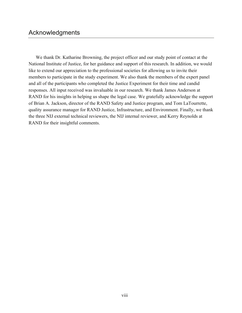We thank Dr. Katharine Browning, the project officer and our study point of contact at the National Institute of Justice, for her guidance and support of this research. In addition, we would like to extend our appreciation to the professional societies for allowing us to invite their members to participate in the study experiment. We also thank the members of the expert panel and all of the participants who completed the Justice Experiment for their time and candid responses. All input received was invaluable in our research. We thank James Anderson at RAND for his insights in helping us shape the legal case. We gratefully acknowledge the support of Brian A. Jackson, director of the RAND Safety and Justice program, and Tom LaTourrette, quality assurance manager for RAND Justice, Infrastructure, and Environment. Finally, we thank the three NIJ external technical reviewers, the NIJ internal reviewer, and Kerry Reynolds at RAND for their insightful comments.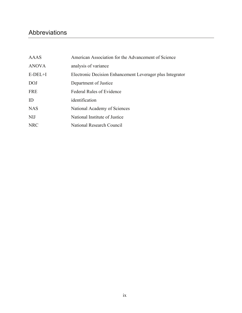# Abbreviations

| AAAS         | American Association for the Advancement of Science       |
|--------------|-----------------------------------------------------------|
| <b>ANOVA</b> | analysis of variance                                      |
| $E-DEL+I$    | Electronic Decision Enhancement Leverager plus Integrator |
| <b>DOJ</b>   | Department of Justice                                     |
| <b>FRE</b>   | <b>Federal Rules of Evidence</b>                          |
| ID           | identification                                            |
| <b>NAS</b>   | National Academy of Sciences                              |
| <b>NIJ</b>   | National Institute of Justice                             |
| <b>NRC</b>   | National Research Council                                 |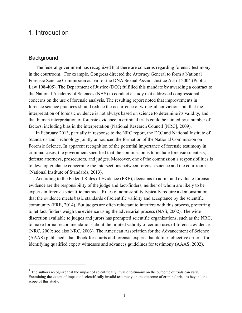# 1. Introduction

# **Background**

 $\overline{a}$ 

The federal government has recognized that there are concerns regarding forensic testimony in the courtroom.<sup>1</sup> For example, Congress directed the Attorney General to form a National Forensic Science Commission as part of the DNA Sexual Assault Justice Act of 2004 (Public Law 108-405). The Department of Justice (DOJ) fulfilled this mandate by awarding a contract to the National Academy of Sciences (NAS) to conduct a study that addressed congressional concerns on the use of forensic analysis. The resulting report noted that improvements in forensic science practices should reduce the occurrence of wrongful convictions but that the interpretation of forensic evidence is not always based on science to determine its validity, and that human interpretation of forensic evidence in criminal trials could be tainted by a number of factors, including bias in the interpretation (National Research Council [NRC], 2009).

In February 2013, partially in response to the NRC report, the DOJ and National Institute of Standards and Technology jointly announced the formation of the National Commission on Forensic Science. In apparent recognition of the potential importance of forensic testimony in criminal cases, the government specified that the commission is to include forensic scientists, defense attorneys, prosecutors, and judges. Moreover, one of the commission's responsibilities is to develop guidance concerning the intersections between forensic science and the courtroom (National Institute of Standards, 2013).

According to the Federal Rules of Evidence (FRE), decisions to admit and evaluate forensic evidence are the responsibility of the judge and fact-finders, neither of whom are likely to be experts in forensic scientific methods. Rules of admissibility typically require a demonstration that the evidence meets basic standards of scientific validity and acceptance by the scientific community (FRE, 2014). But judges are often reluctant to interfere with this process, preferring to let fact-finders weigh the evidence using the adversarial process (NAS, 2002). The wide discretion available to judges and jurors has prompted scientific organizations, such as the NRC, to make formal recommendations about the limited validity of certain uses of forensic evidence (NRC, 2009; see also NRC, 2003). The American Association for the Advancement of Science (AAAS) published a handbook for courts and forensic experts that defines objective criteria for identifying qualified expert witnesses and advances guidelines for testimony (AAAS, 2002).

 $<sup>1</sup>$  The authors recognize that the impact of scientifically invalid testimony on the outcome of trials can vary.</sup> Examining the extent of impact of scientifically invalid testimony on the outcome of criminal trials is beyond the scope of this study.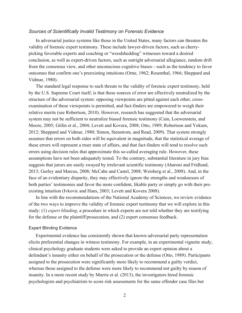#### *Sources of Scientifically Invalid Testimony on Forensic Evidence*

In adversarial justice systems like those in the United States, many factors can threaten the validity of forensic expert testimony. These include lawyer-driven factors, such as cherrypicking favorable experts and coaching or "woodshedding" witnesses toward a desired conclusion, as well as expert-driven factors, such as outright adversarial allegiance, random drift from the consensus view, and other unconscious cognitive biases—such as the tendency to favor outcomes that confirm one's preexisting intuitions (Orne, 1962; Rosenthal, 1966; Sheppard and Vidmar, 1980).

The standard legal response to such threats to the validity of forensic expert testimony, held by the U.S. Supreme Court itself, is that these sources of error are effectively neutralized by the structure of the adversarial system: opposing viewpoints are pitted against each other, crossexamination of these viewpoints is permitted, and fact-finders are empowered to weigh their relative merits (see Robertson, 2010). However, research has suggested that the adversarial system may not be sufficient to neutralize biased forensic testimony (Cain, Loewenstein, and Moore, 2005; Gitlin et al., 2004; Levett and Kovera, 2008; Otto, 1989; Robertson and Yokum, 2012; Sheppard and Vidmar, 1980; Simon, Stenstrom, and Read, 2009). That system strongly assumes that errors on both sides will be equivalent in magnitude, that the statistical average of these errors will represent a truer state of affairs, and that fact-finders will tend to resolve such errors using decision rules that approximate this so-called averaging rule. However, these assumptions have not been adequately tested. To the contrary, substantial literature in jury bias suggests that jurors are easily swayed by irrelevant scientific testimony (Aharoni and Fridlund, 2013; Gurley and Marcus, 2008; McCabe and Castel, 2008; Weisberg et al., 2008). And, in the face of an evidentiary disparity, they may effectively ignore the strengths and weaknesses of both parties' testimonies and favor the more confident, likable party or simply go with their preexisting intuition (Ivkovic and Hans, 2003; Levett and Kovera 2008).

In line with the recommendations of the National Academy of Sciences, we review evidence of the two ways to improve the validity of forensic expert testimony that we will explore in this study: (1) *expert blinding*, a procedure in which experts are not told whether they are testifying for the defense or the plaintiff/prosecution, and (2) expert consensus feedback.

## Expert Blinding Evidence

Experimental evidence has consistently shown that known adversarial party representation elicits preferential changes in witness testimony. For example, in an experimental vignette study, clinical psychology graduate students were asked to provide an expert opinion about a defendant's insanity either on behalf of the prosecution or the defense (Otto, 1989). Participants assigned to the prosecution were significantly more likely to recommend a guilty verdict, whereas those assigned to the defense were more likely to recommend not guilty by reason of insanity. In a more recent study by Murrie et al. (2013), the investigators hired forensic psychologists and psychiatrists to score risk assessments for the same offender case files but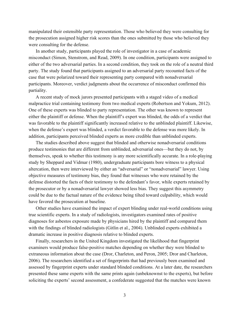manipulated their ostensible party representation. Those who believed they were consulting for the prosecution assigned higher risk scores than the ones submitted by those who believed they were consulting for the defense.

In another study, participants played the role of investigator in a case of academic misconduct (Simon, Stenstrom, and Read, 2009). In one condition, participants were assigned to either of the two adversarial parties. In a second condition, they took on the role of a neutral third party. The study found that participants assigned to an adversarial party recounted facts of the case that were polarized toward their representing party compared with nonadversarial participants. Moreover, verdict judgments about the occurrence of misconduct confirmed this partiality.

A recent study of mock jurors presented participants with a staged video of a medical malpractice trial containing testimony from two medical experts (Robertson and Yokum, 2012). One of these experts was blinded to party representation. The other was known to represent either the plaintiff or defense. When the plaintiff's expert was blinded, the odds of a verdict that was favorable to the plaintiff significantly increased relative to the unblinded plaintiff. Likewise, when the defense's expert was blinded, a verdict favorable to the defense was more likely. In addition, participants perceived blinded experts as more credible than unblinded experts.

The studies described above suggest that blinded and otherwise nonadversarial conditions produce testimonies that are different from unblinded, adversarial ones—but they do not, by themselves, speak to whether this testimony is any more scientifically accurate. In a role-playing study by Sheppard and Vidmar (1980), undergraduate participants bore witness to a physical altercation, then were interviewed by either an "adversarial" or "nonadversarial" lawyer. Using objective measures of testimony bias, they found that witnesses who were retained by the defense distorted the facts of their testimony to the defendant's favor, while experts retained by the prosecutor or by a nonadversarial lawyer showed less bias. They suggest this asymmetry could be due to the factual nature of the evidence being tilted toward culpability, which would have favored the prosecution at baseline.

Other studies have examined the impact of expert blinding under real-world conditions using true scientific experts. In a study of radiologists, investigators examined rates of positive diagnoses for asbestos exposure made by physicians hired by the plaintiff and compared them with the findings of blinded radiologists (Gitlin et al., 2004). Unblinded experts exhibited a dramatic increase in positive diagnosis relative to blinded experts.

Finally, researchers in the United Kingdom investigated the likelihood that fingerprint examiners would produce false-positive matches depending on whether they were blinded to extraneous information about the case (Dror, Charleton, and Peron, 2005; Dror and Charleton, 2006). The researchers identified a set of fingerprints that had previously been examined and assessed by fingerprint experts under standard blinded conditions. At a later date, the researchers presented these same experts with the same prints again (unbeknownst to the experts), but before soliciting the experts' second assessment, a confederate suggested that the matches were known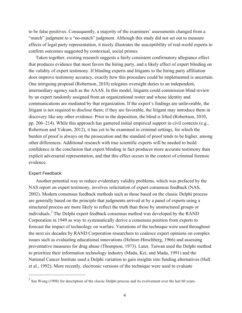to be false positives. Consequently, a majority of the examiners' assessments changed from a "match" judgment to a "no-match" judgment. Although this study did not set out to measure effects of legal party representation, it nicely illustrates the susceptibility of real-world experts to confirm outcomes suggested by contextual, social primes.

Taken together, existing research suggests a fairly consistent confirmatory allegiance effect that produces evidence that most favors the hiring party, and a likely effect of expert blinding on the validity of expert testimony. If blinding experts and litigants to the hiring party affiliation does improve testimony accuracy, exactly how this procedure could be implemented is uncertain. One intriguing proposal (Robertson, 2010) relegates oversight duties to an independent, intermediary agency such as the AAAS. In this model, litigants could commission blind review by an expert randomly assigned from an organizational roster and whose identity and communications are mediated by that organization. If the expert's findings are unfavorable, the litigant is not required to disclose them; if they are favorable, the litigant may introduce them in discovery like any other evidence. Prior to the deposition, the blind is lifted (Robertson, 2010, pp. 206–214). While this approach has garnered initial empirical support in civil contexts (e.g., Robertson and Yokum, 2012), it has yet to be examined in criminal settings, for which the burden of proof is always on the prosecution and the standard of proof tends to be higher, among other differences. Additional research with true scientific experts will be needed to build confidence in the conclusion that expert blinding in fact produces more accurate testimony than explicit adversarial representation, and that this effect occurs in the context of criminal forensic evidence.

#### Expert Feedback

 $\overline{a}$ 

Another potential way to reduce evidentiary validity problems, which was prefaced by the NAS report on expert testimony, involves solicitation of expert consensus feedback (NAS, 2002). Modern consensus feedback methods such as those based on the classic Delphi process are generally based on the principle that judgments arrived at by a panel of experts using a structured process are more likely to reflect the truth than those by unstructured groups or individuals.<sup>2</sup> The Delphi expert feedback consensus method was developed by the RAND Corporation in 1949 as way to systematically derive a consensus position from experts to forecast the impact of technology on warfare. Variations of the technique were used throughout the next six decades by RAND Corporation researchers to coalesce expert opinions on complex issues such as evaluating educational innovations (Helmer-Hirschberg, 1966) and assessing preventative measures for drug abuse (Thompson, 1973). Later, Taiwan used the Delphi method to prioritize their information technology industry (Madu, Kei, and Madu, 1991) and the National Cancer Institute used a Delphi variation to gain insights into funding alternatives (Hall et al., 1992). More recently, electronic versions of the technique were used to evaluate

 $2$  See Wong (1998) for description of the classic Delphi process and its evolvement over the last 60 years.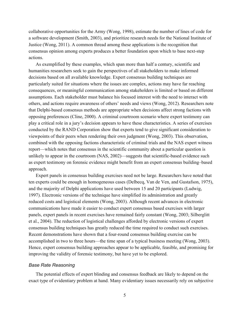collaborative opportunities for the Army (Wong, 1998), estimate the number of lines of code for a software development (Smith, 2003), and prioritize research needs for the National Institute of Justice (Wong, 2011). A common thread among these applications is the recognition that consensus opinion among experts produces a better foundation upon which to base next-step actions.

As exemplified by these examples, which span more than half a century, scientific and humanities researchers seek to gain the perspectives of all stakeholders to make informed decisions based on all available knowledge. Expert consensus building techniques are particularly suited for situations where the issues are complex, actions may have far reaching consequences, or meaningful communication among stakeholders is limited or based on different assumptions. Each stakeholder must balance his focused interest with the need to interact with others, and actions require awareness of others' needs and views (Wong, 2012). Researchers note that Delphi-based consensus methods are appropriate when decisions affect strong factions with opposing preferences (Cline, 2000). A criminal courtroom scenario where expert testimony can play a critical role in a jury's decision appears to have these characteristics. A series of exercises conducted by the RAND Corporation show that experts tend to give significant consideration to viewpoints of their peers when rendering their own judgment (Wong, 2003). This observation, combined with the opposing factions characteristic of criminal trials and the NAS expert witness report—which notes that consensus in the scientific community about a particular question is unlikely to appear in the courtroom (NAS, 2002)—suggests that scientific-based evidence such as expert testimony on forensic evidence might benefit from an expert consensus building–based approach.

Expert panels in consensus building exercises need not be large. Researchers have noted that ten experts could be enough in homogeneous cases (Delbecq, Van de Ven, and Gustafson, 1975), and the majority of Delphi applications have used between 15 and 20 participants (Ludwig, 1997). Electronic versions of the technique have simplified its administration and greatly reduced costs and logistical elements (Wong, 2003). Although recent advances in electronic communications have made it easier to conduct expert consensus based exercises with larger panels, expert panels in recent exercises have remained fairly constant (Wong, 2003; Silberglitt et al., 2004). The reduction of logistical challenges afforded by electronic versions of expert consensus building techniques has greatly reduced the time required to conduct such exercises. Recent demonstrations have shown that a four-round consensus building exercise can be accomplished in two to three hours—the time span of a typical business meeting (Wong, 2003). Hence, expert consensus building approaches appear to be applicable, feasible, and promising for improving the validity of forensic testimony, but have yet to be explored.

## *Base Rate Reasoning*

The potential effects of expert blinding and consensus feedback are likely to depend on the exact type of evidentiary problem at hand. Many evidentiary issues necessarily rely on subjective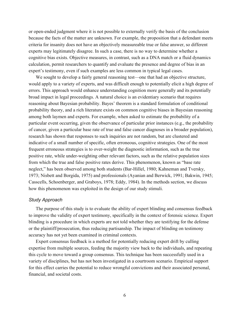or open-ended judgment where it is not possible to externally verify the basis of the conclusion because the facts of the matter are unknown. For example, the proposition that a defendant meets criteria for insanity does not have an objectively measureable true or false answer, so different experts may legitimately disagree. In such a case, there is no way to determine whether a cognitive bias exists. Objective measures, in contrast, such as a DNA match or a fluid dynamics calculation, permit researchers to quantify and evaluate the presence and degree of bias in an expert's testimony, even if such examples are less common in typical legal cases.

We sought to develop a fairly general reasoning test—one that had an objective structure, would apply to a variety of experts, and was difficult enough to potentially elicit a high degree of errors. This approach would enhance understanding cognition more generally and its potentially broad impact in legal proceedings. A natural choice is an evidentiary scenario that requires reasoning about Bayesian probability. Bayes' theorem is a standard formulation of conditional probability theory, and a rich literature exists on common cognitive biases in Bayesian reasoning among both laymen and experts. For example, when asked to estimate the probability of a particular event occurring, given the observance of particular prior instances (e.g., the probability of cancer, given a particular base rate of true and false cancer diagnoses in a broader population), research has shown that responses to such inquiries are not random, but are clustered and indicative of a small number of specific, often erroneous, cognitive strategies. One of the most frequent erroneous strategies is to over-weight the diagnostic information, such as the true positive rate, while under-weighting other relevant factors, such as the relative population sizes from which the true and false positive rates derive. This phenomenon, known as "base rate neglect," has been observed among both students (Bar-Hillel, 1980; Kahneman and Tversky, 1973; Nisbett and Borgida, 1975) and professionals (Ayanian and Berwick, 1991; Bakwin, 1945; Casscells, Schoenberger, and Graboys, 1978; Eddy, 1984). In the methods section, we discuss how this phenomenon was exploited in the design of our study stimuli.

## *Study Approach*

The purpose of this study is to evaluate the ability of expert blinding and consensus feedback to improve the validity of expert testimony, specifically in the context of forensic science. Expert blinding is a procedure in which experts are not told whether they are testifying for the defense or the plaintiff/prosecution, thus reducing partisanship. The impact of blinding on testimony accuracy has not yet been examined in criminal contexts.

Expert consensus feedback is a method for potentially reducing expert drift by culling expertise from multiple sources, feeding the majority view back to the individuals, and repeating this cycle to move toward a group consensus. This technique has been successfully used in a variety of disciplines, but has not been investigated in a courtroom scenario. Empirical support for this effect carries the potential to reduce wrongful convictions and their associated personal, financial, and societal costs.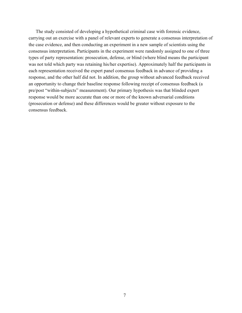The study consisted of developing a hypothetical criminal case with forensic evidence, carrying out an exercise with a panel of relevant experts to generate a consensus interpretation of the case evidence, and then conducting an experiment in a new sample of scientists using the consensus interpretation. Participants in the experiment were randomly assigned to one of three types of party representation: prosecution, defense, or blind (where blind means the participant was not told which party was retaining his/her expertise). Approximately half the participants in each representation received the expert panel consensus feedback in advance of providing a response, and the other half did not. In addition, the group without advanced feedback received an opportunity to change their baseline response following receipt of consensus feedback (a pre/post "within-subjects" measurement). Our primary hypothesis was that blinded expert response would be more accurate than one or more of the known adversarial conditions (prosecution or defense) and these differences would be greater without exposure to the consensus feedback.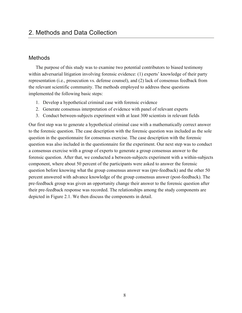# 2. Methods and Data Collection

# **Methods**

The purpose of this study was to examine two potential contributors to biased testimony within adversarial litigation involving forensic evidence: (1) experts' knowledge of their party representation (i.e., prosecution vs. defense counsel), and (2) lack of consensus feedback from the relevant scientific community. The methods employed to address these questions implemented the following basic steps:

- 1. Develop a hypothetical criminal case with forensic evidence
- 2. Generate consensus interpretation of evidence with panel of relevant experts
- 3. Conduct between-subjects experiment with at least 300 scientists in relevant fields

Our first step was to generate a hypothetical criminal case with a mathematically correct answer to the forensic question. The case description with the forensic question was included as the sole question in the questionnaire for consensus exercise. The case description with the forensic question was also included in the questionnaire for the experiment. Our next step was to conduct a consensus exercise with a group of experts to generate a group consensus answer to the forensic question. After that, we conducted a between-subjects experiment with a within-subjects component, where about 50 percent of the participants were asked to answer the forensic question before knowing what the group consensus answer was (pre-feedback) and the other 50 percent answered with advance knowledge of the group consensus answer (post-feedback). The pre-feedback group was given an opportunity change their answer to the forensic question after their pre-feedback response was recorded. The relationships among the study components are depicted in Figure 2.1. We then discuss the components in detail.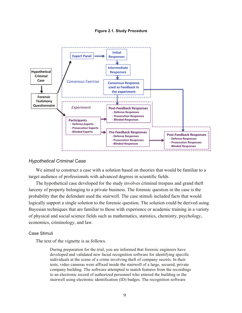#### **Figure 2.1. Study Procedure**



## *Hypothetical Criminal Case*

We aimed to construct a case with a solution based on theories that would be familiar to a target audience of professionals with advanced degrees in scientific fields.

The hypothetical case developed for the study involves criminal trespass and grand theft larceny of property belonging to a private business. The forensic question in the case is the probability that the defendant used the stairwell. The case stimuli included facts that would logically support a single solution to the forensic question. The solution could be derived using Bayesian techniques that are familiar to those with experience or academic training in a variety of physical and social science fields such as mathematics, statistics, chemistry, psychology, economics, criminology, and law.

## Case Stimuli

The text of the vignette is as follows.

During preparation for the trial, you are informed that forensic engineers have developed and validated new facial recognition software for identifying specific individuals at the scene of a crime involving theft of company secrets. In their tests, video cameras were affixed inside the stairwell of a large, secured, private company building. The software attempted to match features from the recordings to an electronic record of authorized personnel who entered the building or the stairwell using electronic identification (ID) badges. The recognition software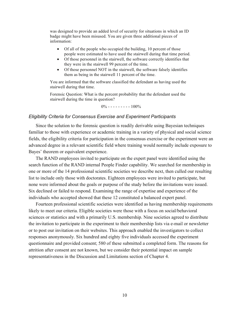was designed to provide an added level of security for situations in which an ID badge might have been misused. You are given three additional pieces of information:

- Of all of the people who occupied the building, 10 percent of those people were estimated to have used the stairwell during that time period.
- Of those personnel in the stairwell, the software correctly identifies that they were in the stairwell 99 percent of the time.
- Of those personnel NOT in the stairwell, the software falsely identifies them as being in the stairwell 11 percent of the time.

You are informed that the software classified the defendant as having used the stairwell during that time.

Forensic Question: What is the percent probability that the defendant used the stairwell during the time in question?

 $0\%$  - - - - - - - - 100%

#### *Eligibility Criteria for Consensus Exercise and Experiment Participants*

Since the solution to the forensic question is readily derivable using Bayesian techniques familiar to those with experience or academic training in a variety of physical and social science fields, the eligibility criteria for participation in the consensus exercise or the experiment were an advanced degree in a relevant scientific field where training would normally include exposure to Bayes' theorem or equivalent experience.

The RAND employees invited to participate on the expert panel were identified using the search function of the RAND internal People Finder capability. We searched for membership in one or more of the 14 professional scientific societies we describe next, then culled our resulting list to include only those with doctorates. Eighteen employees were invited to participate, but none were informed about the goals or purpose of the study before the invitations were issued. Six declined or failed to respond. Examining the range of expertise and experience of the individuals who accepted showed that these 12 constituted a balanced expert panel.

Fourteen professional scientific societies were identified as having membership requirements likely to meet our criteria. Eligible societies were those with a focus on social/behavioral sciences or statistics and with a primarily U.S. membership. Nine societies agreed to distribute the invitation to participate in the experiment to their membership lists via e-mail or newsletter or to post our invitation on their websites. This approach enabled the investigators to collect responses anonymously. Six hundred and eighty five individuals accessed the experiment questionnaire and provided consent; 580 of these submitted a completed form. The reasons for attrition after consent are not known, but we consider their potential impact on sample representativeness in the Discussion and Limitations section of Chapter 4.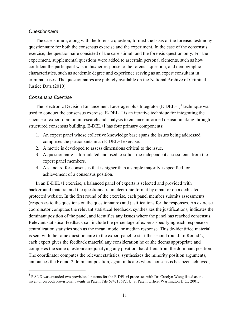# *Questionnaire*

The case stimuli, along with the forensic question, formed the basis of the forensic testimony questionnaire for both the consensus exercise and the experiment. In the case of the consensus exercise, the questionnaire consisted of the case stimuli and the forensic question only. For the experiment, supplemental questions were added to ascertain personal elements, such as how confident the participant was in his/her response to the forensic question, and demographic characteristics, such as academic degree and experience serving as an expert consultant in criminal cases. The questionnaires are publicly available on the National Archive of Criminal Justice Data (2010).

# *Consensus Exercise*

 $\overline{a}$ 

The Electronic Decision Enhancement Leverager plus Integrator  $(E\text{-DEL+I})^3$  technique was used to conduct the consensus exercise. E-DEL+I is an iterative technique for integrating the science of expert opinion in research and analysis to enhance informed decisionmaking through structured consensus building. E-DEL+I has four primary components:

- 1. An expert panel whose collective knowledge base spans the issues being addressed comprises the participants in an E-DEL+I exercise.
- 2. A metric is developed to assess dimensions critical to the issue.
- 3. A questionnaire is formulated and used to solicit the independent assessments from the expert panel members.
- 4. A standard for consensus that is higher than a simple majority is specified for achievement of a consensus position.

In an E-DEL+I exercise, a balanced panel of experts is selected and provided with background material and the questionnaire in electronic format by email or on a dedicated protected website. In the first round of the exercise, each panel member submits assessments (responses to the questions on the questionnaire) and justifications for the responses. An exercise coordinator computes the relevant statistical feedback, synthesizes the justifications, indicates the dominant position of the panel, and identifies any issues where the panel has reached consensus. Relevant statistical feedback can include the percentage of experts specifying each response or centralization statistics such as the mean, mode, or median response. This de-identified material is sent with the same questionnaire to the expert panel to start the second round. In Round 2, each expert gives the feedback material any consideration he or she deems appropriate and completes the same questionnaire justifying any position that differs from the dominant position. The coordinator computes the relevant statistics, synthesizes the minority position arguments, announces the Round-2 dominant position, again indicates where consensus has been achieved,

<sup>&</sup>lt;sup>3</sup> RAND was awarded two provisional patents for the E-DEL+I processes with Dr. Carolyn Wong listed as the inventor on both provisional patents in Patent File 6847136P2, U. S. Patent Office, Washington D.C., 2001.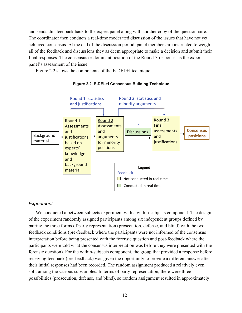and sends this feedback back to the expert panel along with another copy of the questionnaire. The coordinator then conducts a real-time moderated discussion of the issues that have not yet achieved consensus. At the end of the discussion period, panel members are instructed to weigh all of the feedback and discussions they as deem appropriate to make a decision and submit their final responses. The consensus or dominant position of the Round-3 responses is the expert panel's assessment of the issue.

Figure 2.2 shows the components of the E-DEL+I technique.



**Figure 2.2. E-DEL+I Consensus Building Technique**

# *Experiment*

We conducted a between-subjects experiment with a within-subjects component. The design of the experiment randomly assigned participants among six independent groups defined by pairing the three forms of party representation (prosecution, defense, and blind) with the two feedback conditions (pre-feedback where the participants were not informed of the consensus interpretation before being presented with the forensic question and post-feedback where the participants were told what the consensus interpretation was before they were presented with the forensic question). For the within-subjects component, the group that provided a response before receiving feedback (pre-feedback) was given the opportunity to provide a different answer after their initial responses had been recorded. The random assignment produced a relatively even split among the various subsamples. In terms of party representation, there were three possibilities (prosecution, defense, and blind), so random assignment resulted in approximately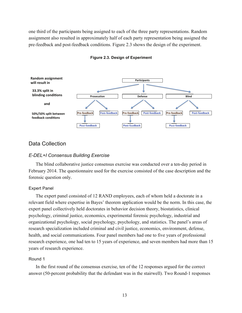one third of the participants being assigned to each of the three party representations. Random assignment also resulted in approximately half of each party representation being assigned the pre-feedback and post-feedback conditions. Figure 2.3 shows the design of the experiment.



#### **Figure 2.3. Design of Experiment**

# Data Collection

## *E-DEL+I Consensus Building Exercise*

The blind collaborative justice consensus exercise was conducted over a ten-day period in February 2014. The questionnaire used for the exercise consisted of the case description and the forensic question only.

#### Expert Panel

The expert panel consisted of 12 RAND employees, each of whom held a doctorate in a relevant field where expertise in Bayes' theorem application would be the norm. In this case, the expert panel collectively held doctorates in behavior decision theory, biostatistics, clinical psychology, criminal justice, economics, experimental forensic psychology, industrial and organizational psychology, social psychology, psychology, and statistics. The panel's areas of research specialization included criminal and civil justice, economics, environment, defense, health, and social communications. Four panel members had one to five years of professional research experience, one had ten to 15 years of experience, and seven members had more than 15 years of research experience.

#### Round 1

In the first round of the consensus exercise, ten of the 12 responses argued for the correct answer (50-percent probability that the defendant was in the stairwell). Two Round-1 responses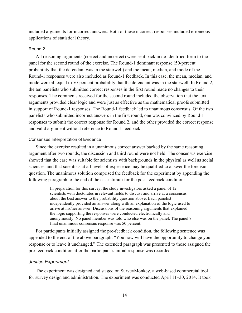included arguments for incorrect answers. Both of these incorrect responses included erroneous applications of statistical theory.

## Round 2

All reasoning arguments (correct and incorrect) were sent back in de-identified form to the panel for the second round of the exercise. The Round-1 dominant response (50-percent probability that the defendant was in the stairwell) and the mean, median, and mode of the Round-1 responses were also included as Round-1 feedback. In this case, the mean, median, and mode were all equal to 50-percent probability that the defendant was in the stairwell. In Round 2, the ten panelists who submitted correct responses in the first round made no changes to their responses. The comments received for the second round included the observation that the text arguments provided clear logic and were just as effective as the mathematical proofs submitted in support of Round-1 responses. The Round-1 feedback led to unanimous consensus. Of the two panelists who submitted incorrect answers in the first round, one was convinced by Round-1 responses to submit the correct response for Round 2, and the other provided the correct response and valid argument without reference to Round 1 feedback.

## Consensus Interpretation of Evidence

Since the exercise resulted in a unanimous correct answer backed by the same reasoning argument after two rounds, the discussion and third round were not held. The consensus exercise showed that the case was suitable for scientists with backgrounds in the physical as well as social sciences, and that scientists at all levels of experience may be qualified to answer the forensic question. The unanimous solution comprised the feedback for the experiment by appending the following paragraph to the end of the case stimuli for the post-feedback condition:

> In preparation for this survey, the study investigators asked a panel of 12 scientists with doctorates in relevant fields to discuss and arrive at a consensus about the best answer to the probability question above. Each panelist independently provided an answer along with an explanation of the logic used to arrive at his/her answer. Discussions of the reasoning arguments that explained the logic supporting the responses were conducted electronically and anonymously. No panel member was told who else was on the panel. The panel's final unanimous consensus response was 50 percent.

For participants initially assigned the pre-feedback condition, the following sentence was appended to the end of the above paragraph: "You now will have the opportunity to change your response or to leave it unchanged." The extended paragraph was presented to those assigned the pre-feedback condition after the participant's initial response was recorded.

## *Justice Experiment*

The experiment was designed and staged on SurveyMonkey, a web-based commercial tool for survey design and administration. The experiment was conducted April 11–30, 2014. It took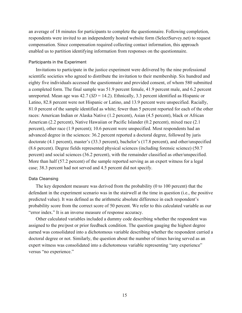an average of 18 minutes for participants to complete the questionnaire. Following completion, respondents were invited to an independently hosted website form (SelectSurvey.net) to request compensation. Since compensation required collecting contact information, this approach enabled us to partition identifying information from responses on the questionnaire.

## Participants in the Experiment

Invitations to participate in the justice experiment were delivered by the nine professional scientific societies who agreed to distribute the invitation to their membership. Six hundred and eighty five individuals accessed the questionnaire and provided consent, of whom 580 submitted a completed form. The final sample was 51.9 percent female, 41.9 percent male, and 6.2 percent unreported. Mean age was 42.7 (*SD* = 14.2). Ethnically, 3.3 percent identified as Hispanic or Latino, 82.8 percent were not Hispanic or Latino, and 13.9 percent were unspecified. Racially, 81.0 percent of the sample identified as white; fewer than 5 percent reported for each of the other races: American Indian or Alaska Native (1.2 percent), Asian (4.5 percent), black or African American (2.2 percent), Native Hawaiian or Pacific Islander (0.2 percent), mixed race (2.1 percent), other race (1.9 percent); 10.6 percent were unspecified. Most respondents had an advanced degree in the sciences: 36.2 percent reported a doctoral degree, followed by juris doctorate (4.1 percent), master's (33.3 percent), bachelor's (17.8 percent), and other/unspecified (8.6 percent). Degree fields represented physical sciences (including forensic science) (50.7 percent) and social sciences (36.2 percent), with the remainder classified as other/unspecified. More than half (57.2 percent) of the sample reported serving as an expert witness for a legal case; 38.3 percent had not served and 4.5 percent did not specify.

## Data Cleansing

The key dependent measure was derived from the probability (0 to 100 percent) that the defendant in the experiment scenario was in the stairwell at the time in question (i.e., the positive predicted value). It was defined as the arithmetic absolute difference in each respondent's probability score from the correct score of 50 percent. We refer to this calculated variable as our "error index." It is an inverse measure of response accuracy.

Other calculated variables included a dummy code describing whether the respondent was assigned to the pre/post or prior feedback condition. The question gauging the highest degree earned was consolidated into a dichotomous variable describing whether the respondent carried a doctoral degree or not. Similarly, the question about the number of times having served as an expert witness was consolidated into a dichotomous variable representing "any experience" versus "no experience."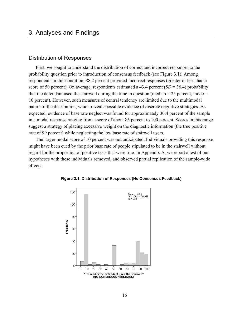# 3. Analyses and Findings

# Distribution of Responses

First, we sought to understand the distribution of correct and incorrect responses to the probability question prior to introduction of consensus feedback (see Figure 3.1). Among respondents in this condition, 88.2 percent provided incorrect responses (greater or less than a score of 50 percent). On average, respondents estimated a 43.4 percent  $(SD = 36.4)$  probability that the defendant used the stairwell during the time in question (median  $= 25$  percent, mode  $=$ 10 percent). However, such measures of central tendency are limited due to the multimodal nature of the distribution, which reveals possible evidence of discrete cognitive strategies. As expected, evidence of base rate neglect was found for approximately 30.4 percent of the sample in a modal response ranging from a score of about 85 percent to 100 percent. Scores in this range suggest a strategy of placing excessive weight on the diagnostic information (the true positive rate of 99 percent) while neglecting the low base rate of stairwell users.

The larger modal score of 10 percent was not anticipated. Individuals providing this response might have been cued by the prior base rate of people stipulated to be in the stairwell without regard for the proportion of positive tests that were true. In Appendix A, we report a test of our hypotheses with these individuals removed, and observed partial replication of the sample-wide effects.



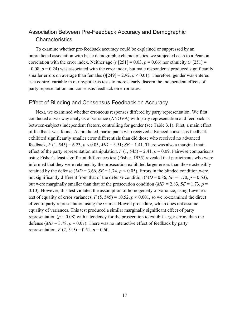# Association Between Pre-Feedback Accuracy and Demographic **Characteristics**

To examine whether pre-feedback accuracy could be explained or suppressed by an unpredicted association with basic demographic characteristics, we subjected each to a Pearson correlation with the error index. Neither age ( $r$  [251] = 0.03,  $p$  = 0.66) nor ethnicity ( $r$  [251] =  $-0.08$ ,  $p = 0.24$ ) was associated with the error index, but male respondents produced significantly smaller errors on average than females  $(t[249] = 2.92, p \le 0.01)$ . Therefore, gender was entered as a control variable in our hypothesis tests to more clearly discern the independent effects of party representation and consensus feedback on error rates.

# Effect of Blinding and Consensus Feedback on Accuracy

Next, we examined whether erroneous responses differed by party representation. We first conducted a two-way analysis of variance (ANOVA) with party representation and feedback as between-subjects independent factors, controlling for gender (see Table 3.1). First, a main effect of feedback was found. As predicted, participants who received advanced consensus feedback exhibited significantly smaller error differentials than did those who received no advanced feedback,  $F(1, 545) = 6.23$ ,  $p < 0.05$ ,  $MD = 3.51$ ;  $SE = 1.41$ . There was also a marginal main effect of the party representation manipulation,  $F(1, 545) = 2.41$ ,  $p = 0.09$ . Pairwise comparisons using Fisher's least significant differences test (Fisher, 1935) revealed that participants who were informed that they were retained by the prosecution exhibited larger errors than those ostensibly retained by the defense ( $MD = 3.66$ ,  $SE = 1.74$ ,  $p < 0.05$ ). Errors in the blinded condition were not significantly different from that of the defense condition  $(MD = 0.86, SE = 1.70, p = 0.63)$ , but were marginally smaller than that of the prosecution condition ( $MD = 2.83$ ,  $SE = 1.73$ ,  $p =$ 0.10). However, this test violated the assumption of homogeneity of variance, using Levene's test of equality of error variances,  $F(5, 545) = 10.52$ ,  $p < 0.001$ , so we re-examined the direct effect of party representation using the Games-Howell procedure, which does not assume equality of variances. This test produced a similar marginally significant effect of party representation ( $p = 0.08$ ) with a tendency for the prosecution to exhibit larger errors than the defense ( $MD = 3.78$ ,  $p = 0.07$ ). There was no interactive effect of feedback by party representation,  $F(2, 545) = 0.51$ ,  $p = 0.60$ .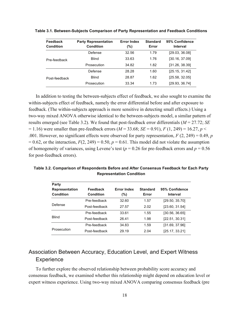| Feedback<br><b>Condition</b> | <b>Party Representation</b><br>Condition | <b>Error Index</b><br>(%) | <b>Standard</b><br>Error | 95% Confidence<br>Interval |
|------------------------------|------------------------------------------|---------------------------|--------------------------|----------------------------|
| Pre-feedback                 | Defense                                  | 32.56                     | 1.79                     | [29.03, 36.08]             |
|                              | <b>Blind</b>                             | 33.63                     | 1.76                     | [30.16, 37.09]             |
|                              | Prosecution                              | 34.82                     | 1.82                     | [31.26, 38.39]             |
| Post-feedback                | Defense                                  | 28.28                     | 1.60                     | [25.15, 31.42]             |
|                              | <b>Blind</b>                             | 28.87                     | 1.62                     | [25.58, 32.05]             |
|                              | Prosecution                              | 33.34                     | 1.73                     | [29.93, 36.74]             |

**Table 3.1. Between-Subjects Comparison of Party Representation and Feedback Conditions**

In addition to testing the between-subjects effect of feedback, we also sought to examine the within-subjects effect of feedback, namely the error differential before and after exposure to feedback. (The within-subjects approach is more sensitive in detecting small effects.) Using a two-way mixed ANOVA otherwise identical to the between-subjects model, a similar pattern of results emerged (see Table 3.2). We found that post-feedback error differentials (*M* = 27.72; *SE*  $= 1.16$ ) were smaller than pre-feedback errors ( $M = 33.68$ ;  $SE = 0.91$ ),  $F (1, 249) = 16.27$ ,  $p <$ .001. However, no significant effects were observed for party representation, *F* (2, 249) = 0.49, *p*  $= 0.62$ , or the interaction,  $F(2, 249) = 0.50$ ,  $p = 0.61$ . This model did not violate the assumption of homogeneity of variances, using Levene's test ( $p = 0.26$  for pre-feedback errors and  $p = 0.56$ ) for post-feedback errors).

**Table 3.2. Comparison of Respondents Before and After Consensus Feedback for Each Party Representation Condition**

| Party                              |                              |                              |                          |                            |
|------------------------------------|------------------------------|------------------------------|--------------------------|----------------------------|
| <b>Representation</b><br>Condition | <b>Feedback</b><br>Condition | <b>Error Index</b><br>$(\%)$ | <b>Standard</b><br>Error | 95% Confidence<br>Interval |
| Defense                            | Pre-feedback                 | 32.60                        | 1.57                     | [29.50, 35.70]             |
|                                    | Post-feedback                | 27.57                        | 2.02                     | [23.60, 31.54]             |
| <b>Blind</b>                       | Pre-feedback                 | 33.61                        | 1.55                     | [30.56, 36.65]             |
|                                    | Post-feedback                | 26.41                        | 1.98                     | [22.51, 30.31]             |
| Prosecution                        | Pre-feedback                 | 34.83                        | 1.59                     | [31.69, 37.96]             |
|                                    | Post-feedback                | 29.19                        | 2.04                     | [25.17, 33.21]             |

# Association Between Accuracy, Education Level, and Expert Witness **Experience**

To further explore the observed relationship between probability score accuracy and consensus feedback, we examined whether this relationship might depend on education level or expert witness experience. Using two-way mixed ANOVA comparing consensus feedback (pre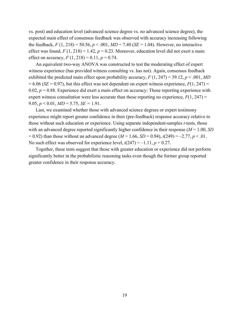vs. post) and education level (advanced science degree vs. no advanced science degree), the expected main effect of consensus feedback was observed with accuracy increasing following the feedback,  $F(1, 218) = 50.56$ ,  $p < .001$ ,  $MD = 7.40$  (*SE* = 1.04). However, no interactive effect was found,  $F(1, 218) = 1.42$ ,  $p = 0.23$ . Moreover, education level did not exert a main effect on accuracy,  $F(1, 218) = 0.11$ ,  $p = 0.74$ .

An equivalent two-way ANOVA was constructed to test the moderating effect of expert witness experience (has provided witness consulting vs. has not). Again, consensus feedback exhibited the predicted main effect upon probability accuracy,  $F(1, 247) = 39.12$ ,  $p < .001$ , *MD*  $= 6.06$  (*SE* = 0.97), but this effect was not dependent on expert witness experience,  $F(1, 247)$  = 0.02,  $p = 0.88$ . Experience did exert a main effect on accuracy: Those reporting experience with expert witness consultation were less accurate than those reporting no experience,  $F(1, 247)$  = 9.05,  $p < 0.01$ ,  $MD = 5.75$ ,  $SE = 1.91$ .

Last, we examined whether those with advanced science degrees or expert testimony experience might report greater confidence in their (pre-feedback) response accuracy relative to those without such education or experience. Using separate independent-samples *t*-tests, those with an advanced degree reported significantly higher confidence in their response (*M* = 1.00, *SD*  $= 0.92$ ) than those without an advanced degree (*M* = 1.66, *SD* = 0.94),  $t(249) = -2.77$ ,  $p < 0.01$ . No such effect was observed for experience level,  $t(247) = -1.11$ ,  $p = 0.27$ .

Together, these tests suggest that those with greater education or experience did not perform significantly better in the probabilistic reasoning tasks even though the former group reported greater confidence in their response accuracy.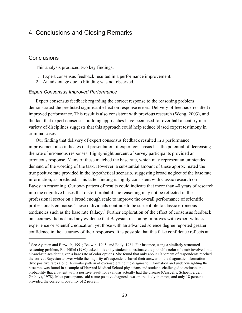# **Conclusions**

 $\overline{a}$ 

This analysis produced two key findings:

- 1. Expert consensus feedback resulted in a performance improvement.
- 2. An advantage due to blinding was not observed.

# *Expert Consensus Improved Performance*

Expert consensus feedback regarding the correct response to the reasoning problem demonstrated the predicted significant effect on response errors: Delivery of feedback resulted in improved performance. This result is also consistent with previous research (Wong, 2003), and the fact that expert consensus building approaches have been used for over half a century in a variety of disciplines suggests that this approach could help reduce biased expert testimony in criminal cases.

Our finding that delivery of expert consensus feedback resulted in a performance improvement also indicates that presentation of expert consensus has the potential of decreasing the rate of erroneous responses. Eighty-eight percent of survey participants provided an erroneous response. Many of these matched the base rate, which may represent an unintended demand of the wording of the task. However, a substantial amount of these approximated the true positive rate provided in the hypothetical scenario, suggesting broad neglect of the base rate information, as predicted. This latter finding is highly consistent with classic research on Bayesian reasoning. Our own pattern of results could indicate that more than 40 years of research into the cognitive biases that distort probabilistic reasoning may not be reflected in the professional sector on a broad enough scale to improve the overall performance of scientific professionals en masse. These individuals continue to be susceptible to classic erroneous tendencies such as the base rate fallacy.<sup>4</sup> Further exploration of the effect of consensus feedback on accuracy did not find any evidence that Bayesian reasoning improves with expert witness experience or scientific education, yet those with an advanced science degree reported greater confidence in the accuracy of their responses. It is possible that this false confidence reflects an

<sup>&</sup>lt;sup>4</sup> See Ayanian and Berwich, 1991; Bakwin, 1945; and Eddy, 1984. For instance, using a similarly structured reasoning problem, Bar-Hillel (1980) asked university students to estimate the probable color of a cab involved in a hit-and-run accident given a base rate of color options. She found that only about 10 percent of respondents reached the correct Bayesian answer while the majority of respondents based their answer on the diagnostic information (true positive rate) alone. A similar pattern of over-weighting the diagnostic information and under-weighting the base rate was found in a sample of Harvard Medical School physicians and students challenged to estimate the probability that a patient with a positive result for cyanosis actually had the disease (Casscells, Schoenberger, Graboys, 1978). Most participants said a true positive diagnosis was more likely than not, and only 18 percent provided the correct probability of 2 percent.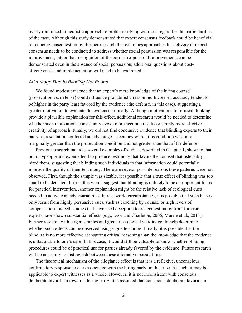overly routinized or heuristic approach to problem solving with less regard for the particularities of the case. Although this study demonstrated that expert consensus feedback could be beneficial to reducing biased testimony, further research that examines approaches for delivery of expert consensus needs to be conducted to address whether social persuasion was responsible for the improvement, rather than recognition of the correct response. If improvements can be demonstrated even in the absence of social persuasion, additional questions about costeffectiveness and implementation will need to be examined.

#### *Advantage Due to Blinding Not Found*

We found modest evidence that an expert's mere knowledge of the hiring counsel (prosecution vs. defense) could influence probabilistic reasoning. Increased accuracy tended to be higher in the party least favored by the evidence (the defense, in this case), suggesting a greater motivation to evaluate the evidence critically. Although motivations for critical thinking provide a plausible explanation for this effect, additional research would be needed to determine whether such motivations consistently evoke more accurate results or simply more effort or creativity of approach. Finally, we did not find conclusive evidence that blinding experts to their party representation conferred an advantage—accuracy within this condition was only marginally greater than the prosecution condition and not greater than that of the defense.

Previous research includes several examples of studies, described in Chapter 1, showing that both laypeople and experts tend to produce testimony that favors the counsel that ostensibly hired them, suggesting that blinding such individuals to that information could potentially improve the quality of their testimony. There are several possible reasons these patterns were not observed. First, though the sample was sizable, it is possible that a true effect of blinding was too small to be detected. If true, this would suggest that blinding is unlikely to be an important focus for practical intervention. Another explanation might be the relative lack of ecological cues needed to activate an adversarial bias. In real-world circumstances, it is possible that such biases only result from highly persuasive cues, such as coaching by counsel or high levels of compensation. Indeed, studies that have used deception to collect testimony from forensic experts have shown substantial effects (e.g., Dror and Charleton, 2006; Murrie et al., 2013). Further research with larger samples and greater ecological validity could help determine whether such effects can be observed using vignette studies. Finally, it is possible that the blinding is no more effective at inspiring critical reasoning than the knowledge that the evidence is unfavorable to one's case. In this case, it would still be valuable to know whether blinding procedures could be of practical use for parties already favored by the evidence. Future research will be necessary to distinguish between these alternative possibilities.

The theoretical mechanism of the allegiance effect is that it is a reflexive, unconscious, confirmatory response to cues associated with the hiring party, in this case. As such, it may be applicable to expert witnesses as a whole. However, it is not inconsistent with conscious, deliberate favoritism toward a hiring party. It is assumed that conscious, deliberate favoritism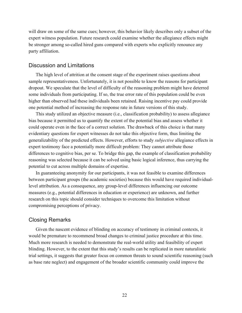will draw on some of the same cues; however, this behavior likely describes only a subset of the expert witness population. Future research could examine whether the allegiance effects might be stronger among so-called hired guns compared with experts who explicitly renounce any party affiliation.

# Discussion and Limitations

The high level of attrition at the consent stage of the experiment raises questions about sample representativeness. Unfortunately, it is not possible to know the reasons for participant dropout. We speculate that the level of difficulty of the reasoning problem might have deterred some individuals from participating. If so, the true error rate of this population could be even higher than observed had these individuals been retained. Raising incentive pay could provide one potential method of increasing the response rate in future versions of this study.

This study utilized an objective measure (i.e., classification probability) to assess allegiance bias because it permitted us to quantify the extent of the potential bias and assess whether it could operate even in the face of a correct solution. The drawback of this choice is that many evidentiary questions for expert witnesses do not take this objective form, thus limiting the generalizability of the predicted effects. However, efforts to study *subjective* allegiance effects in expert testimony face a potentially more difficult problem: They cannot attribute those differences to cognitive bias, per se. To bridge this gap, the example of classification probability reasoning was selected because it can be solved using basic logical inference, thus carrying the potential to cut across multiple domains of expertise.

In guaranteeing anonymity for our participants, it was not feasible to examine differences between participant groups (the academic societies) because this would have required individuallevel attribution. As a consequence, any group-level differences influencing our outcome measures (e.g., potential differences in education or experience) are unknown, and further research on this topic should consider techniques to overcome this limitation without compromising perceptions of privacy.

# Closing Remarks

Given the nascent evidence of blinding on accuracy of testimony in criminal contexts, it would be premature to recommend broad changes to criminal justice procedure at this time. Much more research is needed to demonstrate the real-world utility and feasibility of expert blinding. However, to the extent that this study's results can be replicated in more naturalistic trial settings, it suggests that greater focus on common threats to sound scientific reasoning (such as base rate neglect) and engagement of the broader scientific community could improve the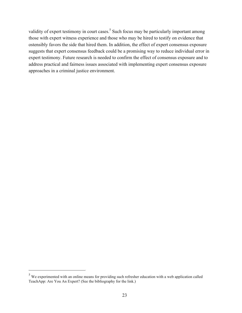validity of expert testimony in court cases.<sup>5</sup> Such focus may be particularly important among those with expert witness experience and those who may be hired to testify on evidence that ostensibly favors the side that hired them. In addition, the effect of expert consensus exposure suggests that expert consensus feedback could be a promising way to reduce individual error in expert testimony. Future research is needed to confirm the effect of consensus exposure and to address practical and fairness issues associated with implementing expert consensus exposure approaches in a criminal justice environment.

 $\overline{a}$ 

<sup>&</sup>lt;sup>5</sup> We experimented with an online means for providing such refresher education with a web application called TeachApp: Are You An Expert? (See the bibliography for the link.)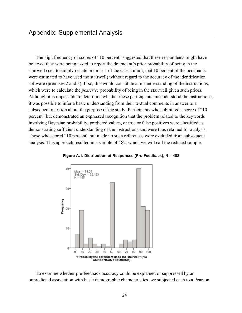The high frequency of scores of "10 percent" suggested that these respondents might have believed they were being asked to report the defendant's prior probability of being in the stairwell (i.e., to simply restate premise 1 of the case stimuli, that 10 percent of the occupants were estimated to have used the stairwell) without regard to the accuracy of the identification software (premises 2 and 3). If so, this would constitute a misunderstanding of the instructions, which were to calculate the *posterior* probability of being in the stairwell given such priors. Although it is impossible to determine whether these participants misunderstood the instructions, it was possible to infer a basic understanding from their textual comments in answer to a subsequent question about the purpose of the study. Participants who submitted a score of "10 percent" but demonstrated an expressed recognition that the problem related to the keywords involving Bayesian probability, predicted values, or true or false positives were classified as demonstrating sufficient understanding of the instructions and were thus retained for analysis. Those who scored "10 percent" but made no such references were excluded from subsequent analysis. This approach resulted in a sample of 482, which we will call the reduced sample.





To examine whether pre-feedback accuracy could be explained or suppressed by an unpredicted association with basic demographic characteristics, we subjected each to a Pearson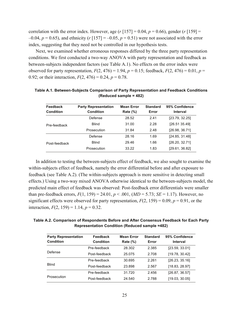correlation with the error index. However, age  $(r \mid 157] = 0.04$ ,  $p = 0.66$ ), gender  $(r \mid 159] =$  $-0.04$ ,  $p = 0.65$ ), and ethnicity ( $r \le 157$ ) = -0.05,  $p = 0.51$ ) were not associated with the error index, suggesting that they need not be controlled in our hypothesis tests.

Next, we examined whether erroneous responses differed by the three party representation conditions. We first conducted a two-way ANOVA with party representation and feedback as between-subjects independent factors (see Table A.1). No effects on the error index were observed for party representation,  $F(2, 476) = 1.94$ ,  $p = 0.15$ ; feedback,  $F(2, 476) = 0.01$ ,  $p =$ 0.92; or their interaction,  $F(2, 476) = 0.24$ ,  $p = 0.78$ .

| Feedback<br><b>Condition</b> | <b>Party Representation</b><br><b>Condition</b> | <b>Mean Error</b><br><b>Rate (%)</b> | <b>Standard</b><br>Error | 95% Confidence<br>Interval |
|------------------------------|-------------------------------------------------|--------------------------------------|--------------------------|----------------------------|
| Pre-feedback                 | Defense                                         | 28.52                                | 2.41                     | [23.79, 32.25]             |
|                              | <b>Blind</b>                                    | 31.00                                | 2.28                     | [26.51 35.49]              |
|                              | Prosecution                                     | 31.84                                | 2.48                     | [26.98, 36.71]             |
| Post-feedback                | Defense                                         | 28.16                                | 1.69                     | [24.85, 31.48]             |
|                              | <b>Blind</b>                                    | 29.46                                | 1.66                     | [26.20, 32.71]             |
|                              | Prosecution                                     | 33.22                                | 1.83                     | [29.61, 36.82]             |

**Table A.1. Between-Subjects Comparison of Party Representation and Feedback Conditions (Reduced sample = 482)**

In addition to testing the between-subjects effect of feedback, we also sought to examine the within-subjects effect of feedback, namely the error differential before and after exposure to feedback (see Table A.2). (The within-subjects approach is more sensitive in detecting small effects.) Using a two-way mixed ANOVA otherwise identical to the between-subjects model, the predicted main effect of feedback was observed: Post-feedback error differentials were smaller than pre-feedback errors,  $F(1, 159) = 24.01$ ,  $p < .001$ ,  $(MD = 5.73; SE = 1.17)$ . However, no significant effects were observed for party representation,  $F(2, 159) = 0.09$ ,  $p = 0.91$ , or the interaction,  $F(2, 159) = 1.14$ ,  $p = 0.32$ .

**Table A.2. Comparison of Respondents Before and After Consensus Feedback for Each Party Representation Condition (Reduced sample =482)**

| <b>Party Representation</b><br><b>Condition</b> | Feedback<br><b>Condition</b> | <b>Mean Error</b><br>Rate $(\%)$ | <b>Standard</b><br>Error | 95% Confidence<br>Interval |
|-------------------------------------------------|------------------------------|----------------------------------|--------------------------|----------------------------|
| Defense                                         | Pre-feedback                 | 28.302                           | 2.385                    | [23.59, 33.01]             |
|                                                 | Post-feedback                | 25.075                           | 2.708                    | [19.78, 30.42]             |
| Blind                                           | Pre-feedback                 | 30.695                           | 2.261                    | [26.23, 35.16]             |
|                                                 | Post-feedback                | 23.898                           | 2.567                    | [18.83, 28.97]             |
| Prosecution                                     | Pre-feedback                 | 31.720                           | 2.456                    | [26.87, 36.57]             |
|                                                 | Post-feedback                | 24.540                           | 2.788                    | [19.03, 30.05]             |
|                                                 |                              |                                  |                          |                            |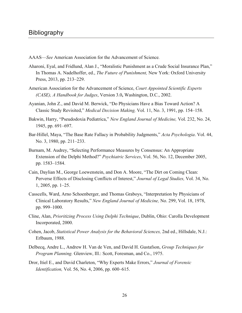- AAAS—*See* American Association for the Advancement of Science*.*
- Aharoni, Eyal, and Fridlund, Alan J., "Moralistic Punishment as a Crude Social Insurance Plan," In Thomas A. Nadelhoffer, ed., *The Future of Punishment,* New York: Oxford University Press, 2013, pp. 213–229.
- American Association for the Advancement of Science, *Court Appointed Scientific Experts (CASE), A Handbook for Judges*, Version 3.0**,** Washington, D.C., 2002.
- Ayanian, John Z., and David M. Berwick, "Do Physicians Have a Bias Toward Action? A Classic Study Revisited," *Medical Decision Making,* Vol. 11, No. 3, 1991, pp. 154–158.
- Bakwin, Harry, "Pseudodoxia Pediatrica," *New England Journal of Medicine,* Vol. 232, No. 24, 1945, pp. 691–697.
- Bar-Hillel, Maya, "The Base Rate Fallacy in Probability Judgments," *Acta Psychologia*. Vol. 44, No. 3, 1980, pp. 211–233.
- Burnam, M. Audrey, "Selecting Performance Measures by Consensus: An Appropriate Extension of the Delphi Method?" *Psychiatric Services*, Vol. 56, No. 12, December 2005, pp. 1583–1584.
- Cain, Daylian M., George Loewenstein, and Don A. Moore, "The Dirt on Coming Clean: Perverse Effects of Disclosing Conflicts of Interest," *Journal of Legal Studies,* Vol. 34, No. 1, 2005, pp. 1–25.
- Casscells, Ward, Arno Schoenberger, and Thomas Graboys, "Interpretation by Physicians of Clinical Laboratory Results," *New England Journal of Medicine,* No. 299, Vol. 18, 1978, pp. 999–1000.
- Cline, Alan, *Prioritizing Process Using Delphi Technique*, Dublin, Ohio: Carolla Development Incorporated, 2000.
- Cohen, Jacob, *Statistical Power Analysis for the Behavioral Sciences,* 2nd ed., Hillsdale, N.J.: Erlbaum, 1988.
- Delbecq, Andre L., Andrew H. Van de Ven, and David H. Gustafson, *Group Techniques for Program Planning.* Glenview, Ill.: Scott, Foresman, and Co., 1975.
- Dror, Itiel E., and David Charleton, "Why Experts Make Errors," *Journal of Forensic Identification,* Vol. 56, No. 4, 2006, pp. 600–615.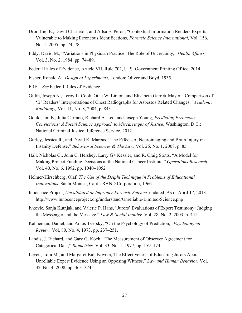- Dror, Itiel E., David Charleton, and Ailsa E. Peron, "Contextual Information Renders Experts Vulnerable to Making Erroneous Identifications, *Forensic Science International,* Vol. 156, No. 1, 2005, pp. 74–78.
- Eddy, David M., "Variations in Physician Practice: The Role of Uncertainty," *Health Affairs,*  Vol. 3, No. 2, 1984, pp. 74–89.
- Federal Rules of Evidence, Article VII, Rule 702, U. S. Government Printing Office, 2014.
- Fisher, Ronald A., *Design of Experiments*, London: Oliver and Boyd, 1935.
- FRE—*See* Federal Rules of Evidence*.*
- Gitlin, Joseph N., Leroy L. Cook, Otha W. Linton, and Elizabeth Garrett-Mayer, "Comparison of 'B' Readers' Interpretations of Chest Radiographs for Asbestos Related Changes," *Academic Radiology,* Vol. 11, No. 8, 2004, p. 843.
- Gould, Jon B., Julia Carrano, Richard A. Leo, and Joseph Young, *Predicting Erroneous Convictions: A Social Science Approach to Miscarriages of Justice*, Washington, D.C.: National Criminal Justice Reference Service, 2012.
- Gurley, Jessica R., and David K. Marcus, "The Effects of Neuroimaging and Brain Injury on Insanity Defense," *Behavioral Sciences & The Law,* Vol. 26, No. 1, 2008, p. 85.
- Hall, Nicholas G., John C. Hershey, Larry G> Kessler, and R. Craig Stotts, "A Model for Making Project Funding Decisions at the National Cancer Institute," *Operations Research*, Vol. 40, No. 6, 1992, pp. 1040–1052.
- Helmer-Hirschberg, Olaf, *The Use of the Delphi Technique in Problems of Educational Innovations*, Santa Monica, Calif.: RAND Corporation, 1966.
- Innocence Project, *Unvalidated or Improper Forensic Science,* undated. As of April 17, 2013: <http://www.innocenceproject.org/understand/Unreliable-Limited-Science.php>
- Ivkovic, Sanja Kutnjak, and Valerie P. Hans, "Jurors' Evaluations of Expert Testimony: Judging the Messenger and the Message," *Law & Social Inquiry,* Vol. 28, No. 2, 2003, p. 441.
- Kahneman, Daniel, and Amos Tversky, "On the Psychology of Prediction," *Psychological Review,* Vol. 80, No. 4, 1973, pp. 237–251.
- Landis, J. Richard, and Gary G. Koch, "The Measurement of Observer Agreement for Categorical Data," *Biometrics,* Vol. 33, No. 1, 1977, pp. 159–174.
- Levett, Lora M., and Margaret Bull Kovera, The Effectiveness of Educating Jurors About Unreliable Expert Evidence Using an Opposing Witness," *Law and Human Behavior,* Vol. 32, No. 4, 2008, pp. 363–374.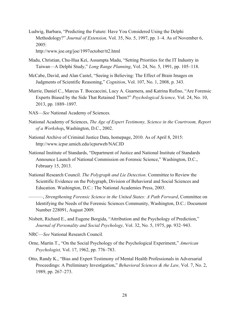Ludwig, Barbara, "Predicting the Future: Have You Considered Using the Delphi Methodology?" *Journal of Extension,* Vol. 35, No. 5, 1997, pp. 1–4. As of November 6, 2005:

<http://www.joe.org/joe/1997october/tt2.html>

- Madu, Christian, Chu-Hua Kei, Assumpta Madu, "Setting Priorities for the IT Industry in Taiwan—A Delphi Study," *Long Range Planning*, Vol. 24, No. 5, 1991, pp. 105–118.
- McCabe, David, and Alan Castel, "Seeing is Believing: The Effect of Brain Images on Judgments of Scientific Reasoning," *Cognition*, Vol. 107, No. 1, 2008, p. 343.
- Murrie, Daniel C., Marcus T. Boccaccini, Lucy A. Guarnera, and Katrina Rufino, "Are Forensic Experts Biased by the Side That Retained Them?" *Psychological Science,* Vol. 24, No. 10, 2013, pp. 1889–1897.
- NAS—*See* National Academy of Sciences*.*
- National Academy of Sciences, *The Age of Expert Testimony, Science in the Courtroom, Report of a Workshop***,** Washington, D.C., 2002.
- National Archive of Criminal Justice Data, homepage, 2010. As of April 8, 2015: <http://www.icpsr.umich.edu/icpsrweb/NACJD>
- National Institute of Standards, "Department of Justice and National Institute of Standards Announce Launch of National Commission on Forensic Science," Washington, D.C., February 15, 2013.
- National Research Council. *The Polygraph and Lie Detection*. Committee to Review the Scientific Evidence on the Polygraph, Division of Behavioral and Social Sciences and Education. Washington, D.C.: The National Academies Press, 2003.
	- ———, *Strengthening Forensic Science in the United States: A Path Forward*, Committee on Identifying the Needs of the Forensic Sciences Community, Washington, D.C.: Document Number 228091, August 2009.
- Nisbett, Richard E., and Eugene Borgida, "Attribution and the Psychology of Prediction," *Journal of Personality and Social Psychology,* Vol. 32, No. 5, 1975, pp. 932–943.
- NRC—*See* National Research Council*.*
- Orne, Martin T., "On the Social Psychology of the Psychological Experiment," *American Psychologist,* Vol. 17, 1962, pp. 776–783.
- Otto, Randy K., "Bias and Expert Testimony of Mental Health Professionals in Adversarial Proceedings: A Preliminary Investigation," *Behavioral Sciences & the Law,* Vol. 7, No. 2, 1989, pp. 267–273.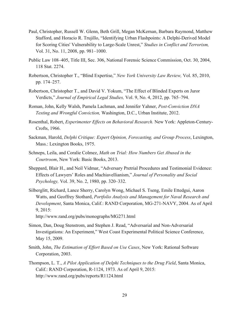- Paul, Christopher, Russell W. Glenn, Beth Grill, Megan McKernan, Barbara Raymond, Matthew Stafford, and Horacio R. Trujillo, "Identifying Urban Flashpoints: A Delphi-Derived Model for Scoring Cities' Vulnerability to Large-Scale Unrest," *Studies in Conflict and Terrorism,*  Vol. 31, No. 11, 2008, pp. 981–1000.
- Public Law 108–405, Title III, Sec. 306, National Forensic Science Commission, Oct. 30, 2004, 118 Stat. 2274.
- Robertson, Christopher T., "Blind Expertise," *New York University Law Review,* Vol. 85, 2010, pp. 174–257.
- Robertson, Christopher T., and David V. Yokum, "The Effect of Blinded Experts on Juror Verdicts," *Journal of Empirical Legal Studies,* Vol. 9, No. 4, 2012, pp. 765–794.
- Roman, John, Kelly Walsh, Pamela Lachman, and Jennifer Yahner, *Post-Conviction DNA Testing and Wrongful Conviction,* Washington, D.C., Urban Institute, 2012.
- Rosenthal, Robert, *Experimenter Effects on Behavioral Research.* New York: Appleton-Century-Crofts, 1966.
- Sackman, Harold, *Delphi Critique: Expert Opinion, Forecasting, and Group Process*, Lexington, Mass.: Lexington Books, 1975.
- Schneps, Leila, and Coralie Colmez, *Math on Trial: How Numbers Get Abused in the Courtroom*, New York: Basic Books, 2013.
- Sheppard, Blair H., and Neil Vidmar, "Adversary Pretrial Procedures and Testimonial Evidence: Effects of Lawyers' Roles and Machiavellianism," *Journal of Personality and Social Psychology,* Vol. 39, No. 2, 1980, pp. 320–332.
- Silberglitt, Richard, Lance Sherry, Carolyn Wong, Michael S. Tseng, Emile Ettedgui, Aaron Watts, and Geoffrey Stothard, *Portfolio Analysis and Management for Naval Research and Development*, Santa Monica, Calif.: RAND Corporation, MG-271-NAVY, 2004. As of April 9, 2015:

<http://www.rand.org/pubs/monographs/MG271.html>

- Simon, Dan, Doug Stenstrom, and Stephen J. Read, "Adversarial and Non-Adversarial Investigations: An Experiment," West Coast Experimental Political Science Conference, May 15, 2009.
- Smith, John, *The Estimation of Effort Based on Use Cases*, New York: Rational Software Corporation, 2003.
- Thompson, L. T., *A Pilot Application of Delphi Techniques to the Drug Field*, Santa Monica, Calif.: RAND Corporation, R-1124, 1973. As of April 9, 2015: <http://www.rand.org/pubs/reports/R1124.html>